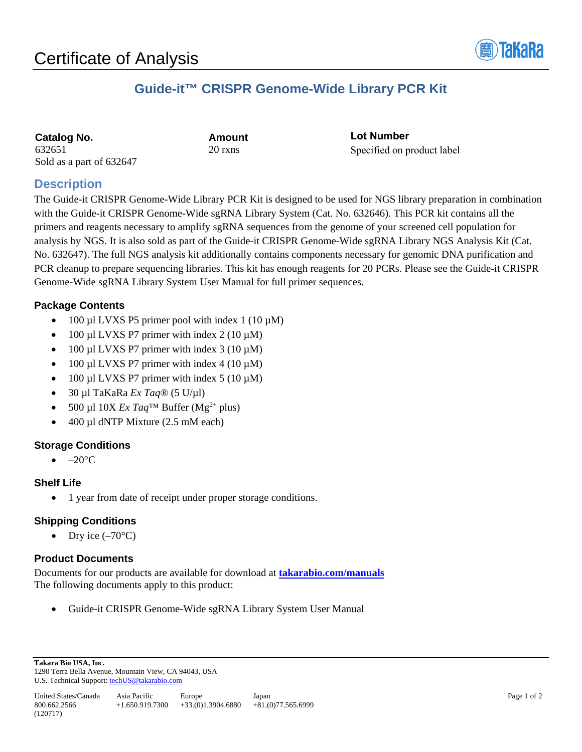

# **Guide-it™ CRISPR Genome-Wide Library PCR Kit**

| <b>Catalog No.</b>       |  |
|--------------------------|--|
| 632651                   |  |
| Sold as a part of 632647 |  |

**Catalog No. Amount** 20 rxns

**Lot Number** Specified on product label

## **Description**

The Guide-it CRISPR Genome-Wide Library PCR Kit is designed to be used for NGS library preparation in combination with the Guide-it CRISPR Genome-Wide sgRNA Library System (Cat. No. 632646). This PCR kit contains all the primers and reagents necessary to amplify sgRNA sequences from the genome of your screened cell population for analysis by NGS. It is also sold as part of the Guide-it CRISPR Genome-Wide sgRNA Library NGS Analysis Kit (Cat. No. 632647). The full NGS analysis kit additionally contains components necessary for genomic DNA purification and PCR cleanup to prepare sequencing libraries. This kit has enough reagents for 20 PCRs. Please see the Guide-it CRISPR Genome-Wide sgRNA Library System User Manual for full primer sequences.

## **Package Contents**

- 100 µl LVXS P5 primer pool with index 1 (10  $\mu$ M)
- 100 µl LVXS P7 primer with index  $2(10 \mu M)$
- 100 µl LVXS P7 primer with index  $3(10 \mu M)$
- 100 µl LVXS P7 primer with index  $4 (10 \mu M)$
- 100 µl LVXS P7 primer with index  $5(10 \mu M)$
- 30 µl TaKaRa *Ex Taq*® (5 U/µl)
- 500 µl 10X  $Ex$   $Taq^{TM}$  Buffer (Mg<sup>2+</sup> plus)
- 400 µl dNTP Mixture (2.5 mM each)

## **Storage Conditions**

 $\bullet$  –20 $\rm ^{\circ}C$ 

### **Shelf Life**

• 1 year from date of receipt under proper storage conditions.

## **Shipping Conditions**

Dry ice  $(-70^{\circ}C)$ 

## **Product Documents**

Documents for our products are available for download at **[takarabio.com/manuals](http://www.takarabio.com/manuals)** The following documents apply to this product:

• Guide-it CRISPR Genome-Wide sgRNA Library System User Manual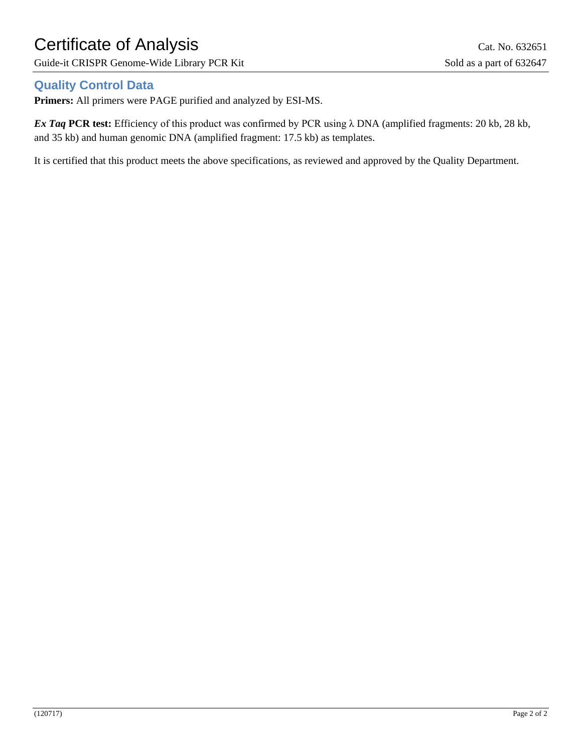# Certificate of Analysis Cat. No. 632651

Guide-it CRISPR Genome-Wide Library PCR Kit Sold as a part of 632647

## **Quality Control Data**

**Primers:** All primers were PAGE purified and analyzed by ESI-MS.

*Ex Taq* **PCR test:** Efficiency of this product was confirmed by PCR using λ DNA (amplified fragments: 20 kb, 28 kb, and 35 kb) and human genomic DNA (amplified fragment: 17.5 kb) as templates.

It is certified that this product meets the above specifications, as reviewed and approved by the Quality Department.